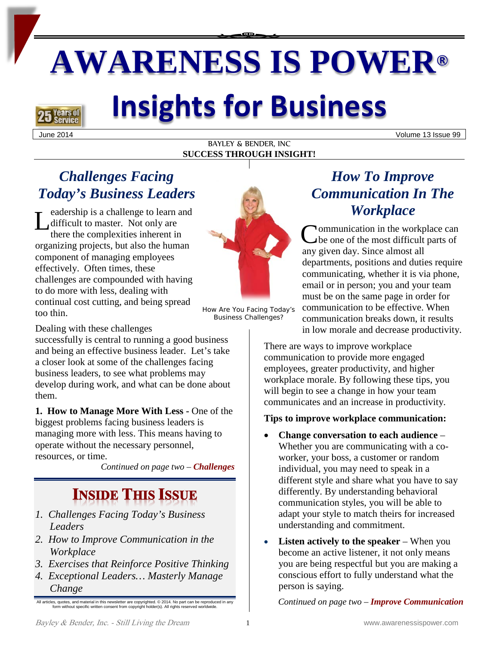# **AWARENESS IS POWER®**



## **Insights for Business**

June 2014 Volume 13 Issue 99

#### BAYLEY & BENDER, INC **SUCCESS THROUGH INSIGHT!**

## *Challenges Facing Today's Business Leaders*

eadership is a challenge to learn and difficult to master. Not only are there the complexities inherent in Leadership is a challenge to learn and<br>difficult to master. Not only are<br>there the complexities inherent in<br>organizing projects, but also the human component of managing employees effectively. Often times, these challenges are compounded with having to do more with less, dealing with continual cost cutting, and being spread too thin.



How Are You Facing Today's Business Challenges?

Dealing with these challenges

successfully is central to running a good business and being an effective business leader. Let's take a closer look at some of the challenges facing business leaders, to see what problems may develop during work, and what can be done about them.

**1. How to Manage More With Less -** One of the biggest problems facing business leaders is managing more with less. This means having to operate without the necessary personnel, resources, or time.

*Continued on page two – Challenges*

## **INSIDE THIS ISSUE**

- *1. Challenges Facing Today's Business Leaders*
- *2. How to Improve Communication in the Workplace*
- *3. Exercises that Reinforce Positive Thinking*
- *4. Exceptional Leaders… Masterly Manage Change*

All articles, quotes, and material in this newsletter are copyrighted. © 2014. No part can be reproduced in any form without specific written consent from copyright holder(s). All rights reserved worldwide.

## *How To Improve Communication In The Workplace*

ommunication in the workplace can be one of the most difficult parts of any given day. Since almost all departments, positions and duties require communicating, whether it is via phone, email or in person; you and your team must be on the same page in order for communication to be effective. When communication breaks down, it results in low morale and decrease productivity.

There are ways to improve workplace communication to provide more engaged employees, greater productivity, and higher workplace morale. By following these tips, you will begin to see a change in how your team communicates and an increase in productivity.

#### **Tips to improve workplace communication:**

- **Change conversation to each audience** Whether you are communicating with a coworker, your boss, a customer or random individual, you may need to speak in a different style and share what you have to say differently. By understanding behavioral communication styles, you will be able to adapt your style to match theirs for increased understanding and commitment.
- **Listen actively to the speaker** When you become an active listener, it not only means you are being respectful but you are making a conscious effort to fully understand what the person is saying.

*Continued on page two – Improve Communication*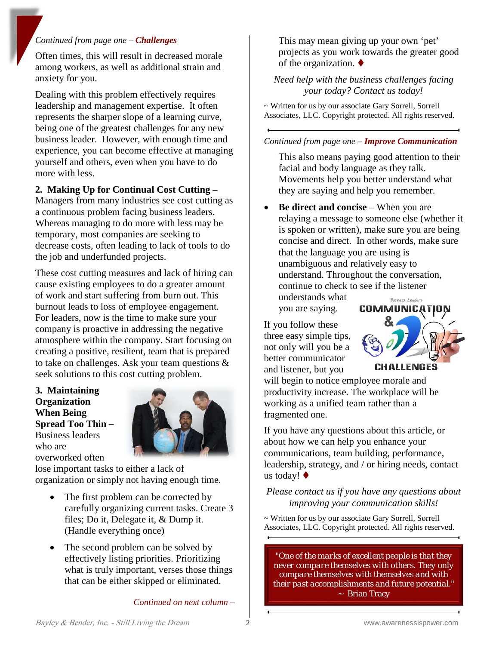#### *Continued from page one – Challenges*

Often times, this will result in decreased morale among workers, as well as additional strain and anxiety for you.

Dealing with this problem effectively requires leadership and management expertise. It often represents the sharper slope of a learning curve, being one of the greatest challenges for any new business leader. However, with enough time and experience, you can become effective at managing yourself and others, even when you have to do more with less.

#### **2. Making Up for Continual Cost Cutting –**

Managers from many industries see cost cutting as a continuous problem facing business leaders. Whereas managing to do more with less may be temporary, most companies are seeking to decrease costs, often leading to lack of tools to do the job and underfunded projects.

These cost cutting measures and lack of hiring can cause existing employees to do a greater amount of work and start suffering from burn out. This burnout leads to loss of employee engagement. For leaders, now is the time to make sure your company is proactive in addressing the negative atmosphere within the company. Start focusing on creating a positive, resilient, team that is prepared to take on challenges. Ask your team questions & seek solutions to this cost cutting problem.

**3. Maintaining Organization When Being Spread Too Thin –** Business leaders who are overworked often



lose important tasks to either a lack of organization or simply not having enough time.

- The first problem can be corrected by carefully organizing current tasks. Create 3 files; Do it, Delegate it, & Dump it. (Handle everything once)
- The second problem can be solved by effectively listing priorities. Prioritizing what is truly important, verses those things that can be either skipped or eliminated.

*Continued on next column –*

This may mean giving up your own 'pet' projects as you work towards the greater good of the organization.  $\blacklozenge$ 

#### *Need help with the business challenges facing your today? Contact us today!*

~ Written for us by our associate Gary Sorrell, Sorrell Associates, LLC. Copyright protected. All rights reserved.

#### *Continued from page one – Improve Communication*

This also means paying good attention to their facial and body language as they talk. Movements help you better understand what they are saying and help you remember.

• **Be direct and concise** – When you are relaying a message to someone else (whether it is spoken or written), make sure you are being concise and direct. In other words, make sure that the language you are using is unambiguous and relatively easy to understand. Throughout the conversation, continue to check to see if the listener

understands what you are saying.

If you follow these three easy simple tips, not only will you be a better communicator and listener, but you



will begin to notice employee morale and productivity increase. The workplace will be working as a unified team rather than a fragmented one.

If you have any questions about this article, or about how we can help you enhance your communications, team building, performance, leadership, strategy, and / or hiring needs, contact us today!

*Please contact us if you have any questions about improving your communication skills!*

~ Written for us by our associate Gary Sorrell, Sorrell Associates, LLC. Copyright protected. All rights reserved.

*"One of the marks of excellent people is that they never compare themselves with others. They only compare themselves with themselves and with their past accomplishments and future potential."*  ~ Brian Tracy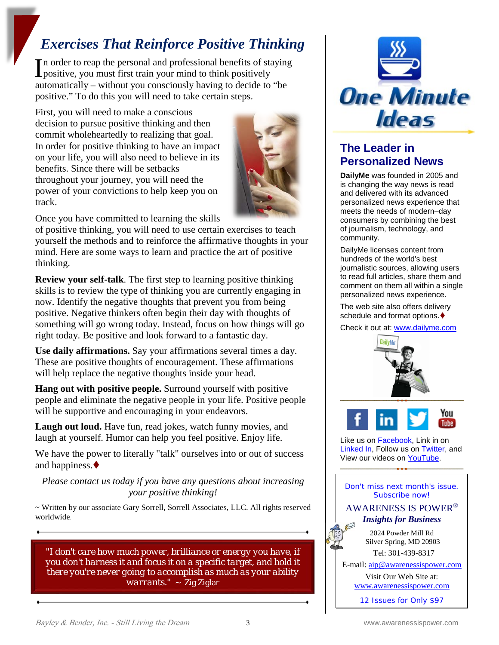## *Exercises That Reinforce Positive Thinking*

n order to reap the personal and professional benefits of staying In order to reap the personal and professional benefits of standard positive, you must first train your mind to think positively automatically – without you consciously having to decide to "be positive." To do this you will need to take certain steps.

First, you will need to make a conscious decision to pursue positive thinking and then commit wholeheartedly to realizing that goal. In order for positive thinking to have an impact on your life, you will also need to believe in its benefits. Since there will be setbacks throughout your journey, you will need the power of your convictions to help keep you on track.



Once you have committed to learning the skills

of positive thinking, you will need to use certain exercises to teach yourself the methods and to reinforce the affirmative thoughts in your mind. Here are some ways to learn and practice the art of positive thinking.

**Review your self-talk**. The first step to learning positive thinking skills is to review the type of thinking you are currently engaging in now. Identify the negative thoughts that prevent you from being positive. Negative thinkers often begin their day with thoughts of something will go wrong today. Instead, focus on how things will go right today. Be positive and look forward to a fantastic day.

**Use daily affirmations.** Say your affirmations several times a day. These are positive thoughts of encouragement. These affirmations will help replace the negative thoughts inside your head.

**Hang out with positive people.** Surround yourself with positive people and eliminate the negative people in your life. Positive people will be supportive and encouraging in your endeavors.

Laugh out loud. Have fun, read jokes, watch funny movies, and laugh at yourself. Humor can help you feel positive. Enjoy life.

We have the power to literally "talk" ourselves into or out of success and happiness.

*Please contact us today if you have any questions about increasing your positive thinking!*

~ Written by our associate Gary Sorrell, Sorrell Associates, LLC. All rights reserved worldwide.

*"I don't care how much power, brilliance or energy you have, if you don't harness it and focus it on a specific target, and hold it there you're never going to accomplish as much as your ability warrants."* ~ Zig Ziglar



### **The Leader in Personalized News**

**DailyMe** was founded in 2005 and is changing the way news is read and delivered with its advanced personalized news experience that meets the needs of modern–day consumers by combining the best of journalism, technology, and community.

DailyMe licenses content from hundreds of the world's best journalistic sources, allowing users to read full articles, share them and comment on them all within a single personalized news experience.

The web site also offers delivery schedule and format options. $\blacklozenge$ 

Check it out at[: www.dailyme.com](http://www.dailyme.com/)





Like us o[n Facebook,](http://r20.rs6.net/tn.jsp?e=001JquJdvhRIHNT1OP4O9GLPKeB5VYzazLg9SS-khoTXb6P-JP3ub7CJJCg8OhSs7845gLR0KnBo3lhpy5eBBJ6FGrbeIXeZxyYkr4Wi5oe_5y45_6TRYCyrgCdr2K51Wet) Link in on [Linked In,](http://r20.rs6.net/tn.jsp?e=001JquJdvhRIHNT1OP4O9GLPKeB5VYzazLg9SS-khoTXb6P-JP3ub7CJJCg8OhSs7845gLR0KnBo3lE8qFewUnVgxVvP_9D3-VqCK5D7tDbJvWu9W51a-SCWlSjV91Vj4NA) Follow us on [Twitter,](http://r20.rs6.net/tn.jsp?e=001JquJdvhRIHNT1OP4O9GLPKeB5VYzazLg9SS-khoTXb6P-JP3ub7CJJCg8OhSs7845gLR0KnBo3mujSc85Y26zB3bPEv1iVsLeBx0qNURDxH9ZY8wDpKhGA==) and View our videos on [YouTube.](http://r20.rs6.net/tn.jsp?e=001JquJdvhRIHNT1OP4O9GLPKeB5VYzazLg9SS-khoTXb6P-JP3ub7CJJCg8OhSs7845gLR0KnBo3m8fQmVk6JNl7gKIsm7AR8PE1cZ0KwvnS83l2fsTpxCyCI7VYummdyTxZrk73U7vNGPuxELHrW18w==)

Don't miss next month's issue. Subscribe now!

#### AWARENESS IS POWER® *Insights for Business*

2024 Powder Mill Rd Silver Spring, MD 20903 Tel: 301-439-8317

E-mail: [aip@awarenessispower.com](mailto:aip@awarenessispower.com)

Visit Our Web Site at:

[www.awarenessispower.com](http://www.awarenessispower.com/)

12 Issues for Only \$97